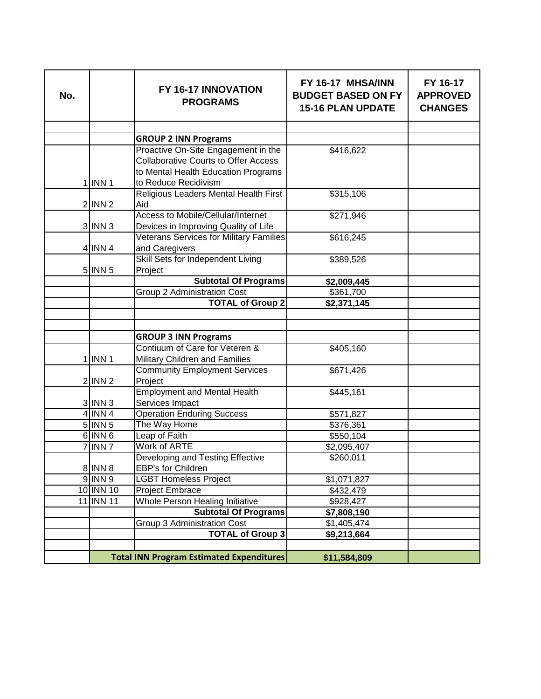| No. |             | FY 16-17 INNOVATION<br><b>PROGRAMS</b>          | FY 16-17 MHSA/INN<br><b>BUDGET BASED ON FY</b><br><b>15-16 PLAN UPDATE</b> | FY 16-17<br><b>APPROVED</b><br><b>CHANGES</b> |
|-----|-------------|-------------------------------------------------|----------------------------------------------------------------------------|-----------------------------------------------|
|     |             |                                                 |                                                                            |                                               |
|     |             | <b>GROUP 2 INN Programs</b>                     |                                                                            |                                               |
|     |             | Proactive On-Site Engagement in the             | \$416,622                                                                  |                                               |
|     |             | <b>Collaborative Courts to Offer Access</b>     |                                                                            |                                               |
|     |             | to Mental Health Education Programs             |                                                                            |                                               |
|     | $1$ INN 1   | to Reduce Recidivism                            |                                                                            |                                               |
|     |             | Religious Leaders Mental Health First           | \$315,106                                                                  |                                               |
|     | $2$ INN $2$ | Aid                                             |                                                                            |                                               |
|     |             | <b>Access to Mobile/Cellular/Internet</b>       | \$271,946                                                                  |                                               |
|     | $3$  INN 3  | Devices in Improving Quality of Life            |                                                                            |                                               |
|     |             | <b>Veterans Services for Military Families</b>  | \$616,245                                                                  |                                               |
|     | $4$ INN 4   | and Caregivers                                  |                                                                            |                                               |
|     |             | Skill Sets for Independent Living               | \$389,526                                                                  |                                               |
|     | $5$  INN 5  | Project                                         |                                                                            |                                               |
|     |             | <b>Subtotal Of Programs</b>                     | \$2,009,445                                                                |                                               |
|     |             | Group 2 Administration Cost                     | \$361,700                                                                  |                                               |
|     |             | <b>TOTAL of Group 2</b>                         | \$2,371,145                                                                |                                               |
|     |             |                                                 |                                                                            |                                               |
|     |             |                                                 |                                                                            |                                               |
|     |             | <b>GROUP 3 INN Programs</b>                     |                                                                            |                                               |
|     |             | Contiuum of Care for Veteren &                  | \$405,160                                                                  |                                               |
|     | $1$  INN 1  | Military Children and Families                  |                                                                            |                                               |
|     |             | <b>Community Employment Services</b>            | \$671,426                                                                  |                                               |
|     | $2$  INN 2  | Project                                         |                                                                            |                                               |
|     |             | <b>Employment and Mental Health</b>             | \$445,161                                                                  |                                               |
|     | $3$  INN 3  | Services Impact                                 |                                                                            |                                               |
|     | $4$ INN 4   | <b>Operation Enduring Success</b>               | \$571,827                                                                  |                                               |
|     | $5$ INN $5$ | The Way Home                                    | \$376,361                                                                  |                                               |
|     | $6$ INN $6$ | Leap of Faith                                   | \$550,104                                                                  |                                               |
|     | 7 INN 7     | <b>Work of ARTE</b>                             | \$2,095,407                                                                |                                               |
|     |             | Developing and Testing Effective                | \$260,011                                                                  |                                               |
|     | 8 INN 8     | EBP's for Children                              |                                                                            |                                               |
|     | $9$ INN $9$ | <b>LGBT Homeless Project</b>                    | \$1,071,827                                                                |                                               |
|     | 10 INN 10   | Project Embrace                                 | \$432,479                                                                  |                                               |
|     | 11 INN 11   | Whole Person Healing Initiative                 | \$928,427                                                                  |                                               |
|     |             | <b>Subtotal Of Programs</b>                     | \$7,808,190                                                                |                                               |
|     |             | Group 3 Administration Cost                     | \$1,405,474                                                                |                                               |
|     |             | <b>TOTAL of Group 3</b>                         | \$9,213,664                                                                |                                               |
|     |             |                                                 |                                                                            |                                               |
|     |             | <b>Total INN Program Estimated Expenditures</b> | \$11,584,809                                                               |                                               |